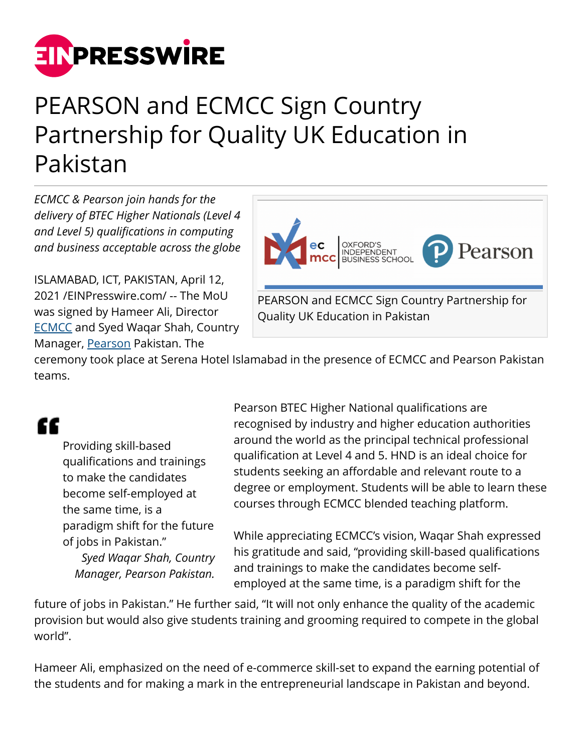

## PEARSON and ECMCC Sign Country Partnership for Quality UK Education in Pakistan

*ECMCC & Pearson join hands for the delivery of BTEC Higher Nationals (Level 4 and Level 5) qualifications in computing and business acceptable across the globe*

ISLAMABAD, ICT, PAKISTAN, April 12, 2021 /[EINPresswire.com](http://www.einpresswire.com)/ -- The MoU was signed by Hameer Ali, Director **ECMCC** and Syed Waqar Shah, Country Manager, [Pearson](http://www.pearson.com) Pakistan. The



ceremony took place at Serena Hotel Islamabad in the presence of ECMCC and Pearson Pakistan teams.

## "

Providing skill-based qualifications and trainings to make the candidates become self-employed at the same time, is a paradigm shift for the future of jobs in Pakistan." *Syed Waqar Shah, Country Manager, Pearson Pakistan.*

Pearson BTEC Higher National qualifications are recognised by industry and higher education authorities around the world as the principal technical professional qualification at Level 4 and 5. HND is an ideal choice for students seeking an affordable and relevant route to a degree or employment. Students will be able to learn these courses through ECMCC blended teaching platform.

While appreciating ECMCC's vision, Waqar Shah expressed his gratitude and said, "providing skill-based qualifications and trainings to make the candidates become selfemployed at the same time, is a paradigm shift for the

future of jobs in Pakistan." He further said, "It will not only enhance the quality of the academic provision but would also give students training and grooming required to compete in the global world".

Hameer Ali, emphasized on the need of e-commerce skill-set to expand the earning potential of the students and for making a mark in the entrepreneurial landscape in Pakistan and beyond.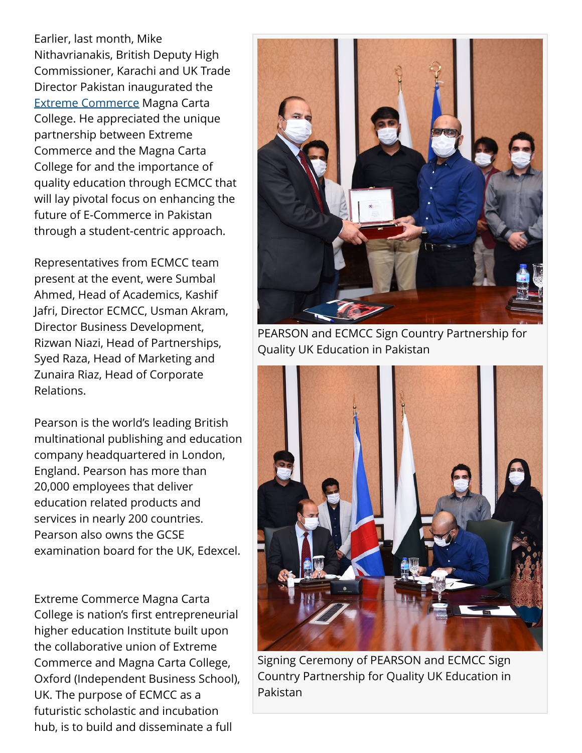Earlier, last month, Mike Nithavrianakis, British Deputy High Commissioner, Karachi and UK Trade Director Pakistan inaugurated the [Extreme Commerce](http://ec.com.pk) Magna Carta College. He appreciated the unique partnership between Extreme Commerce and the Magna Carta College for and the importance of quality education through ECMCC that will lay pivotal focus on enhancing the future of E-Commerce in Pakistan through a student-centric approach.

Representatives from ECMCC team present at the event, were Sumbal Ahmed, Head of Academics, Kashif Jafri, Director ECMCC, Usman Akram, Director Business Development, Rizwan Niazi, Head of Partnerships, Syed Raza, Head of Marketing and Zunaira Riaz, Head of Corporate Relations.

Pearson is the world's leading British multinational publishing and education company headquartered in London, England. Pearson has more than 20,000 employees that deliver education related products and services in nearly 200 countries. Pearson also owns the GCSE examination board for the UK, Edexcel.

Extreme Commerce Magna Carta College is nation's first entrepreneurial higher education Institute built upon the collaborative union of Extreme Commerce and Magna Carta College, Oxford (Independent Business School), UK. The purpose of ECMCC as a futuristic scholastic and incubation hub, is to build and disseminate a full



PEARSON and ECMCC Sign Country Partnership for Quality UK Education in Pakistan



Signing Ceremony of PEARSON and ECMCC Sign Country Partnership for Quality UK Education in Pakistan